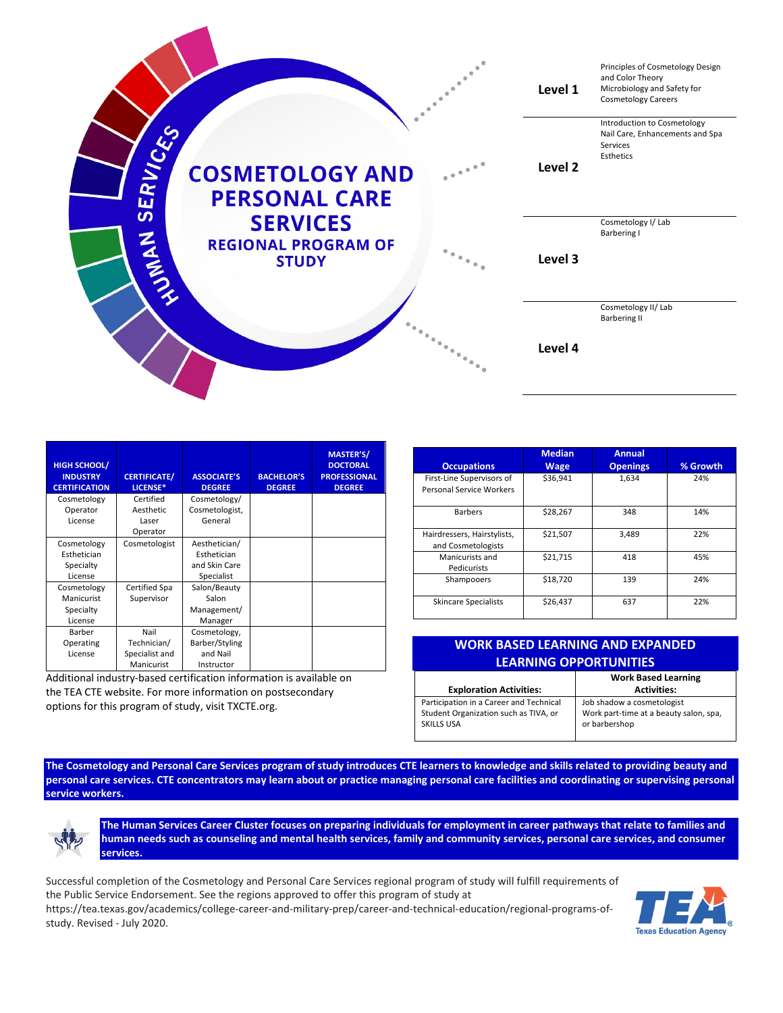

| <b>HIGH SCHOOL/</b><br><b>INDUSTRY</b><br><b>CERTIFICATION</b> | <b>CERTIFICATE/</b><br>LICENSE* | <b>ASSOCIATE'S</b><br><b>DEGREE</b> | <b>BACHELOR'S</b><br><b>DEGREE</b> | <b>MASTER'S/</b><br><b>DOCTORAL</b><br><b>PROFESSIONAL</b><br><b>DEGREE</b> |
|----------------------------------------------------------------|---------------------------------|-------------------------------------|------------------------------------|-----------------------------------------------------------------------------|
| Cosmetology                                                    | Certified                       | Cosmetology/                        |                                    |                                                                             |
| Operator                                                       | Aesthetic                       | Cosmetologist,                      |                                    |                                                                             |
| License                                                        | Laser                           | General                             |                                    |                                                                             |
|                                                                | Operator                        |                                     |                                    |                                                                             |
| Cosmetology                                                    | Cosmetologist                   | Aesthetician/                       |                                    |                                                                             |
| Esthetician                                                    |                                 | Esthetician                         |                                    |                                                                             |
| Specialty                                                      |                                 | and Skin Care                       |                                    |                                                                             |
| License                                                        |                                 | Specialist                          |                                    |                                                                             |
| Cosmetology                                                    | Certified Spa                   | Salon/Beauty                        |                                    |                                                                             |
| Manicurist                                                     | Supervisor                      | Salon                               |                                    |                                                                             |
| Specialty                                                      |                                 | Management/                         |                                    |                                                                             |
| License                                                        |                                 | Manager                             |                                    |                                                                             |
| Barber                                                         | Nail                            | Cosmetology,                        |                                    |                                                                             |
| Operating                                                      | Technician/                     | Barber/Styling                      |                                    |                                                                             |
| License                                                        | Specialist and                  | and Nail                            |                                    |                                                                             |
|                                                                | Manicurist                      | Instructor                          |                                    |                                                                             |

Additional industry-based certification information is available on the TEA CTE website. For more information on postsecondary options for this program of study, visit TXCTE.org.

| <b>Occupations</b>                                    | <b>Median</b><br><b>Wage</b> | <b>Annual</b><br><b>Openings</b> | % Growth |
|-------------------------------------------------------|------------------------------|----------------------------------|----------|
| First-Line Supervisors of<br>Personal Service Workers | \$36.941                     | 1.634                            | 24%      |
| <b>Barbers</b>                                        | \$28,267                     | 348                              | 14%      |
| Hairdressers, Hairstylists,<br>and Cosmetologists     | \$21,507                     | 3,489                            | 22%      |
| Manicurists and<br>Pedicurists                        | \$21,715                     | 418                              | 45%      |
| Shampooers                                            | \$18,720                     | 139                              | 24%      |
| <b>Skincare Specialists</b>                           | \$26,437                     | 637                              | 22%      |

| <b>WORK BASED LEARNING AND EXPANDED</b> |                                        |  |  |  |  |
|-----------------------------------------|----------------------------------------|--|--|--|--|
| <b>LEARNING OPPORTUNITIES</b>           |                                        |  |  |  |  |
|                                         | <b>Work Based Learning</b>             |  |  |  |  |
| <b>Exploration Activities:</b>          | <b>Activities:</b>                     |  |  |  |  |
| Participation in a Career and Technical | Job shadow a cosmetologist             |  |  |  |  |
| Student Organization such as TIVA, or   | Work part-time at a beauty salon, spa, |  |  |  |  |

or barbershop

**The Cosmetology and Personal Care Services program of study introduces CTE learners to knowledge and skills related to providing beauty and personal care services. CTE concentrators may learn about or practice managing personal care facilities and coordinating or supervising personal service workers.**



**The Human Services Career Cluster focuses on preparing individuals for employment in career pathways that relate to families and human needs such as counseling and mental health services, family and community services, personal care services, and consumer services.**

**SKILLS USA** 

Successful completion of the Cosmetology and Personal Care Services regional program of study will fulfill requirements of the Public Service Endorsement. See the regions approved to offer this program of study at



[https://tea.texas.gov/academics/college-career-and-military-prep/career-and-technical-education/regional-programs-of](https://nam10.safelinks.protection.outlook.com/?url=https%3A%2F%2Ftea.texas.gov%2Facademics%2Fcollege-career-and-military-prep%2Fcareer-and-technical-education%2Fregional-programs-of-study&data=02%7C01%7CTerri.Parlett%40tea.texas.gov%7Cfe22a4f8e5334ef936e708d819295711%7C65d6b3c3723648189613248dbd713a6f%7C0%7C0%7C637287012649348979&sdata=bBVeFBjy4dn9gswlvKx6v7OFCN8H0Iy%2FDFa1uSe5hc0%3D&reserved=0)[study.](https://nam10.safelinks.protection.outlook.com/?url=https%3A%2F%2Ftea.texas.gov%2Facademics%2Fcollege-career-and-military-prep%2Fcareer-and-technical-education%2Fregional-programs-of-study&data=02%7C01%7CTerri.Parlett%40tea.texas.gov%7Cfe22a4f8e5334ef936e708d819295711%7C65d6b3c3723648189613248dbd713a6f%7C0%7C0%7C637287012649348979&sdata=bBVeFBjy4dn9gswlvKx6v7OFCN8H0Iy%2FDFa1uSe5hc0%3D&reserved=0) Revised - July 2020.